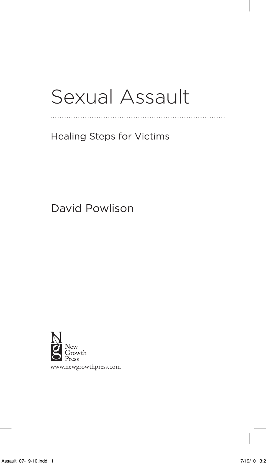## Sexual Assault

. . . . . . . . . . . . . . .

## Healing Steps for Victims

David Powlison

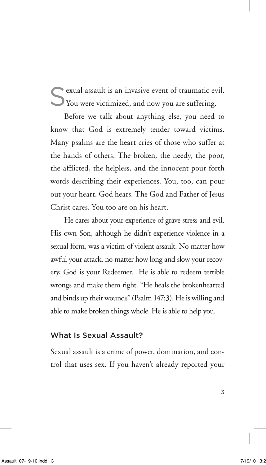exual assault is an invasive event of traumatic evil. You were victimized, and now you are suffering.

Before we talk about anything else, you need to know that God is extremely tender toward victims. Many psalms are the heart cries of those who suffer at the hands of others. The broken, the needy, the poor, the afflicted, the helpless, and the innocent pour forth words describing their experiences. You, too, can pour out your heart. God hears. The God and Father of Jesus Christ cares. You too are on his heart.

He cares about your experience of grave stress and evil. His own Son, although he didn't experience violence in a sexual form, was a victim of violent assault. No matter how awful your attack, no matter how long and slow your recovery, God is your Redeemer. He is able to redeem terrible wrongs and make them right. "He heals the brokenhearted and binds up their wounds" (Psalm 147:3). He is willing and able to make broken things whole. He is able to help you.

## What Is Sexual Assault?

Sexual assault is a crime of power, domination, and control that uses sex. If you haven't already reported your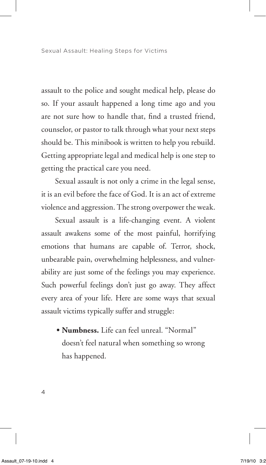assault to the police and sought medical help, please do so. If your assault happened a long time ago and you are not sure how to handle that, find a trusted friend, counselor, or pastor to talk through what your next steps should be. This minibook is written to help you rebuild. Getting appropriate legal and medical help is one step to getting the practical care you need.

Sexual assault is not only a crime in the legal sense, it is an evil before the face of God. It is an act of extreme violence and aggression. The strong overpower the weak.

Sexual assault is a life-changing event. A violent assault awakens some of the most painful, horrifying emotions that humans are capable of. Terror, shock, unbearable pain, overwhelming helplessness, and vulnerability are just some of the feelings you may experience. Such powerful feelings don't just go away. They affect every area of your life. Here are some ways that sexual assault victims typically suffer and struggle:

**• Numbness.** Life can feel unreal. "Normal" doesn't feel natural when something so wrong has happened.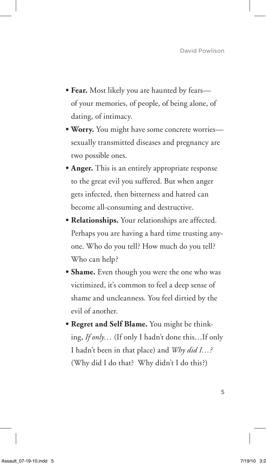- Fear. Most likely you are haunted by fearsof your memories, of people, of being alone, of dating, of intimacy.
- **• Worry.** You might have some concrete worries sexually transmitted diseases and pregnancy are two possible ones.
- **Anger.** This is an entirely appropriate response to the great evil you suffered. But when anger gets infected, then bitterness and hatred can become all-consuming and destructive.
- **• Relationships.** Your relationships are affected. Perhaps you are having a hard time trusting anyone. Who do you tell? How much do you tell? Who can help?
- **• Shame.** Even though you were the one who was victimized, it's common to feel a deep sense of shame and uncleanness. You feel dirtied by the evil of another.
- **• Regret and Self Blame.** You might be thinking, *If only…* (If only I hadn't done this…If only I hadn't been in that place) and *Why did I…?* (Why did I do that? Why didn't I do this?)